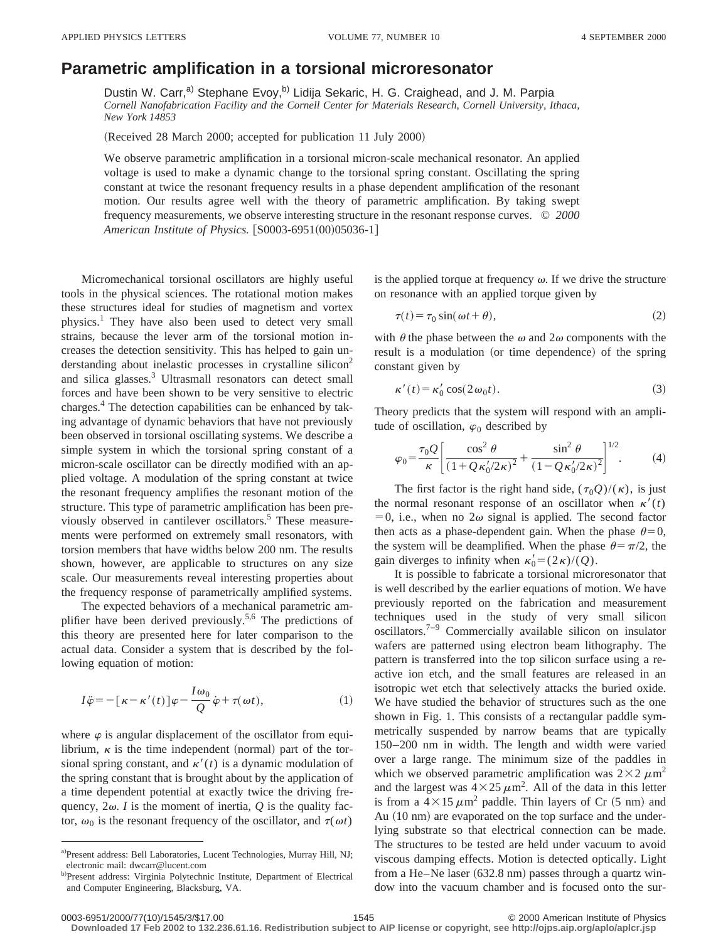## **Parametric amplification in a torsional microresonator**

Dustin W. Carr,<sup>a)</sup> Stephane Evoy,<sup>b)</sup> Lidija Sekaric, H. G. Craighead, and J. M. Parpia *Cornell Nanofabrication Facility and the Cornell Center for Materials Research, Cornell University, Ithaca, New York 14853*

(Received 28 March 2000; accepted for publication 11 July 2000)

We observe parametric amplification in a torsional micron-scale mechanical resonator. An applied voltage is used to make a dynamic change to the torsional spring constant. Oscillating the spring constant at twice the resonant frequency results in a phase dependent amplification of the resonant motion. Our results agree well with the theory of parametric amplification. By taking swept frequency measurements, we observe interesting structure in the resonant response curves. © *2000 American Institute of Physics.* [S0003-6951(00)05036-1]

Micromechanical torsional oscillators are highly useful tools in the physical sciences. The rotational motion makes these structures ideal for studies of magnetism and vortex physics.1 They have also been used to detect very small strains, because the lever arm of the torsional motion increases the detection sensitivity. This has helped to gain understanding about inelastic processes in crystalline silicon<sup>2</sup> and silica glasses.3 Ultrasmall resonators can detect small forces and have been shown to be very sensitive to electric charges.4 The detection capabilities can be enhanced by taking advantage of dynamic behaviors that have not previously been observed in torsional oscillating systems. We describe a simple system in which the torsional spring constant of a micron-scale oscillator can be directly modified with an applied voltage. A modulation of the spring constant at twice the resonant frequency amplifies the resonant motion of the structure. This type of parametric amplification has been previously observed in cantilever oscillators.<sup>5</sup> These measurements were performed on extremely small resonators, with torsion members that have widths below 200 nm. The results shown, however, are applicable to structures on any size scale. Our measurements reveal interesting properties about the frequency response of parametrically amplified systems.

The expected behaviors of a mechanical parametric amplifier have been derived previously.<sup>5,6</sup> The predictions of this theory are presented here for later comparison to the actual data. Consider a system that is described by the following equation of motion:

$$
I\ddot{\varphi} = -[\kappa - \kappa'(t)]\varphi - \frac{I\omega_0}{Q}\dot{\varphi} + \tau(\omega t), \qquad (1)
$$

where  $\varphi$  is angular displacement of the oscillator from equilibrium,  $\kappa$  is the time independent (normal) part of the torsional spring constant, and  $\kappa'(t)$  is a dynamic modulation of the spring constant that is brought about by the application of a time dependent potential at exactly twice the driving frequency,  $2\omega$ . *I* is the moment of inertia,  $Q$  is the quality factor,  $\omega_0$  is the resonant frequency of the oscillator, and  $\tau(\omega t)$  is the applied torque at frequency  $\omega$ . If we drive the structure on resonance with an applied torque given by

$$
\tau(t) = \tau_0 \sin(\omega t + \theta),\tag{2}
$$

with  $\theta$  the phase between the  $\omega$  and  $2\omega$  components with the result is a modulation (or time dependence) of the spring constant given by

$$
\kappa'(t) = \kappa'_0 \cos(2\omega_0 t). \tag{3}
$$

Theory predicts that the system will respond with an amplitude of oscillation,  $\varphi_0$  described by

$$
\varphi_0 = \frac{\tau_0 Q}{\kappa} \left[ \frac{\cos^2 \theta}{(1 + Q \kappa_0^{\prime}/2\kappa)^2} + \frac{\sin^2 \theta}{(1 - Q \kappa_0^{\prime}/2\kappa)^2} \right]^{1/2}.
$$
 (4)

The first factor is the right hand side,  $(\tau_0 Q)/(\kappa)$ , is just the normal resonant response of an oscillator when  $\kappa'(t)$  $=0$ , i.e., when no  $2\omega$  signal is applied. The second factor then acts as a phase-dependent gain. When the phase  $\theta=0$ , the system will be deamplified. When the phase  $\theta = \pi/2$ , the gain diverges to infinity when  $\kappa'_0 = (2\kappa)/(Q)$ .

It is possible to fabricate a torsional microresonator that is well described by the earlier equations of motion. We have previously reported on the fabrication and measurement techniques used in the study of very small silicon oscillators.7–9 Commercially available silicon on insulator wafers are patterned using electron beam lithography. The pattern is transferred into the top silicon surface using a reactive ion etch, and the small features are released in an isotropic wet etch that selectively attacks the buried oxide. We have studied the behavior of structures such as the one shown in Fig. 1. This consists of a rectangular paddle symmetrically suspended by narrow beams that are typically 150–200 nm in width. The length and width were varied over a large range. The minimum size of the paddles in which we observed parametric amplification was  $2\times2 \mu m^2$ and the largest was  $4 \times 25 \mu m^2$ . All of the data in this letter is from a  $4\times15 \mu m^2$  paddle. Thin layers of Cr (5 nm) and Au (10 nm) are evaporated on the top surface and the underlying substrate so that electrical connection can be made. The structures to be tested are held under vacuum to avoid viscous damping effects. Motion is detected optically. Light from a He–Ne laser  $(632.8 \text{ nm})$  passes through a quartz window into the vacuum chamber and is focused onto the sur-

**Downloaded 17 Feb 2002 to 132.236.61.16. Redistribution subject to AIP license or copyright, see http://ojps.aip.org/aplo/aplcr.jsp**

a)Present address: Bell Laboratories, Lucent Technologies, Murray Hill, NJ; electronic mail: dwcarr@lucent.com

b)Present address: Virginia Polytechnic Institute, Department of Electrical and Computer Engineering, Blacksburg, VA.

<sup>0003-6951/2000/77(10)/1545/3/\$17.00 1545 1545 1545 2000</sup> American Institute of Physics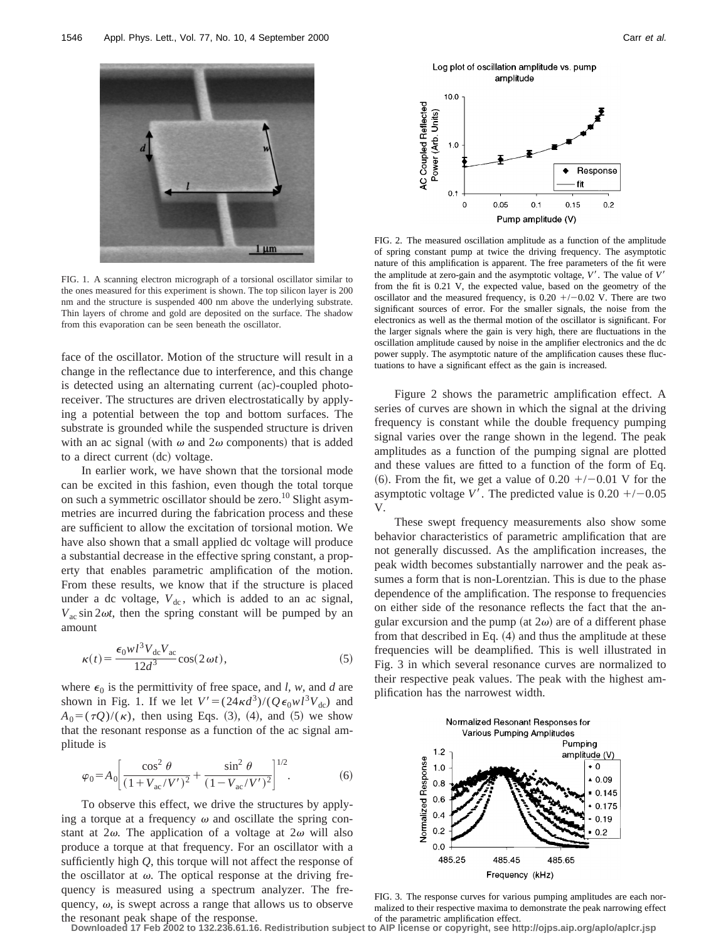

FIG. 1. A scanning electron micrograph of a torsional oscillator similar to the ones measured for this experiment is shown. The top silicon layer is 200 nm and the structure is suspended 400 nm above the underlying substrate. Thin layers of chrome and gold are deposited on the surface. The shadow from this evaporation can be seen beneath the oscillator.

face of the oscillator. Motion of the structure will result in a change in the reflectance due to interference, and this change is detected using an alternating current  $(ac)$ -coupled photoreceiver. The structures are driven electrostatically by applying a potential between the top and bottom surfaces. The substrate is grounded while the suspended structure is driven with an ac signal (with  $\omega$  and  $2\omega$  components) that is added to a direct current (dc) voltage.

In earlier work, we have shown that the torsional mode can be excited in this fashion, even though the total torque on such a symmetric oscillator should be zero.<sup>10</sup> Slight asymmetries are incurred during the fabrication process and these are sufficient to allow the excitation of torsional motion. We have also shown that a small applied dc voltage will produce a substantial decrease in the effective spring constant, a property that enables parametric amplification of the motion. From these results, we know that if the structure is placed under a dc voltage,  $V_{dc}$ , which is added to an ac signal,  $V_{ac}$  sin 2 $\omega t$ , then the spring constant will be pumped by an amount

$$
\kappa(t) = \frac{\epsilon_0 w l^3 V_{dc} V_{ac}}{12d^3} \cos(2\omega t),\tag{5}
$$

where  $\epsilon_0$  is the permittivity of free space, and *l, w*, and *d* are shown in Fig. 1. If we let  $V' = (24\kappa d^3)/(Q\epsilon_0 w l^3 V_{dc})$  and  $A_0 = (\tau Q)/(\kappa)$ , then using Eqs. (3), (4), and (5) we show that the resonant response as a function of the ac signal amplitude is

$$
\varphi_0 = A_0 \left[ \frac{\cos^2 \theta}{(1 + V_{ac}/V')^2} + \frac{\sin^2 \theta}{(1 - V_{ac}/V')^2} \right]^{1/2}.
$$
 (6)

To observe this effect, we drive the structures by applying a torque at a frequency  $\omega$  and oscillate the spring constant at  $2\omega$ . The application of a voltage at  $2\omega$  will also produce a torque at that frequency. For an oscillator with a sufficiently high *Q*, this torque will not affect the response of the oscillator at  $\omega$ . The optical response at the driving frequency is measured using a spectrum analyzer. The frequency,  $\omega$ , is swept across a range that allows us to observe the resonant peak shape of the response.



Response ٠ fit  $0.1$  $\circ$ 0.05  $0.1$  $0.15$  $0.2$ Pump amplitude (V)

FIG. 2. The measured oscillation amplitude as a function of the amplitude of spring constant pump at twice the driving frequency. The asymptotic nature of this amplification is apparent. The free parameters of the fit were the amplitude at zero-gain and the asymptotic voltage,  $V'$ . The value of  $V'$ from the fit is 0.21 V, the expected value, based on the geometry of the oscillator and the measured frequency, is  $0.20 +/-0.02$  V. There are two significant sources of error. For the smaller signals, the noise from the electronics as well as the thermal motion of the oscillator is significant. For the larger signals where the gain is very high, there are fluctuations in the oscillation amplitude caused by noise in the amplifier electronics and the dc power supply. The asymptotic nature of the amplification causes these fluctuations to have a significant effect as the gain is increased.

Figure 2 shows the parametric amplification effect. A series of curves are shown in which the signal at the driving frequency is constant while the double frequency pumping signal varies over the range shown in the legend. The peak amplitudes as a function of the pumping signal are plotted and these values are fitted to a function of the form of Eq. (6). From the fit, we get a value of  $0.20 +/-0.01$  V for the asymptotic voltage V'. The predicted value is  $0.20 + (-0.05)$ V.

These swept frequency measurements also show some behavior characteristics of parametric amplification that are not generally discussed. As the amplification increases, the peak width becomes substantially narrower and the peak assumes a form that is non-Lorentzian. This is due to the phase dependence of the amplification. The response to frequencies on either side of the resonance reflects the fact that the angular excursion and the pump (at  $2\omega$ ) are of a different phase from that described in Eq.  $(4)$  and thus the amplitude at these frequencies will be deamplified. This is well illustrated in Fig. 3 in which several resonance curves are normalized to their respective peak values. The peak with the highest amplification has the narrowest width.



FIG. 3. The response curves for various pumping amplitudes are each normalized to their respective maxima to demonstrate the peak narrowing effect of the parametric amplification effect.

**Downloaded 17 Feb 2002 to 132.236.61.16. Redistribution subject to AIP license or copyright, see http://ojps.aip.org/aplo/aplcr.jsp**